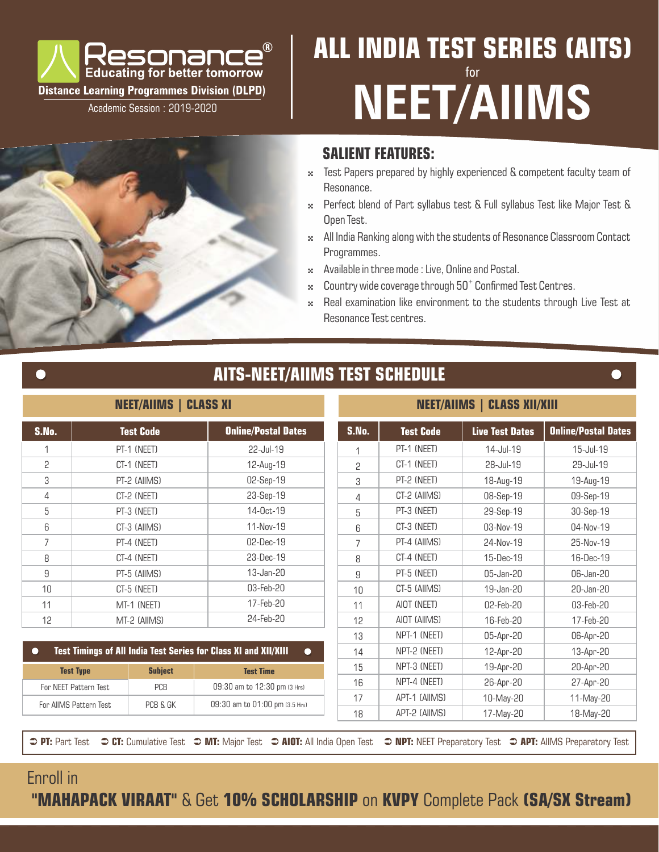

Academic Session : 2019-2020

# **ALL INDIA TEST SERIES (AITS)** for **NEET/AIIMS**

### **SALIENT FEATURES:**

- $\cdot$  Test Papers prepared by highly experienced & competent faculty team of Resonance.
- 4 Perfect blend of Part syllabus test & Full syllabus Test like Major Test & Open Test.
- \* All India Ranking along with the students of Resonance Classroom Contact Programmes.
- \* Available in three mode : Live, Online and Postal.
- $\approx$  Country wide coverage through 50 $^+$  Confirmed Test Centres.
- \* Real examination like environment to the students through Live Test at Resonance Test centres.

## **AITS-NEET/AIIMS TEST SCHEDULE**

#### **NEET/AIIMS | CLASS XI**

| S.No. | <b>Test Code</b> | <b>Online/Postal Dates</b> |
|-------|------------------|----------------------------|
| 1     | PT-1 (NEET)      | 22-Jul-19                  |
| 2     | CT-1 (NEET)      | 12-Aug-19                  |
| 3     | PT-2 (AIIMS)     | 02-Sep-19                  |
| 4     | CT-2 (NEET)      | 23-Sep-19                  |
| 5     | PT-3 (NEET)      | 14-0ct-19                  |
| ĥ     | CT-3 (AIIMS)     | 11-Nov-19                  |
| 7     | PT-4 (NEET)      | 02-Dec-19                  |
| 8     | CT-4 (NEET)      | 23-Dec-19                  |
| 9     | PT-5 (AIIMS)     | $13 - Jan - 20$            |
| 10    | CT-5 (NEET)      | 03-Feb-20                  |
| 11    | MT-1 (NEET)      | 17-Feb-20                  |
| 12    | MT-2 (AIIMS)     | 24-Feb-20                  |

#### **NEET/AIIMS | CLASS XII/XIII**

| S.No.                                                  | <b>Online/Postal Dates</b><br><b>Test Code</b> |                              | S.No.                                                                               | <b>Test Code</b> | <b>Live Test Dates</b> | <b>Online/Postal Dates</b> |           |
|--------------------------------------------------------|------------------------------------------------|------------------------------|-------------------------------------------------------------------------------------|------------------|------------------------|----------------------------|-----------|
| 1                                                      |                                                | PT-1 (NEET)                  | 22-Jul-19                                                                           |                  | PT-1 (NEET)            | 14-Jul-19                  | 15-Jul-19 |
| 2                                                      |                                                | CT-1 (NEET)                  | 12-Aug-19                                                                           | 2                | CT-1 (NEET)            | 28-Jul-19                  | 29-Jul-19 |
| 3                                                      |                                                | PT-2 (AIIMS)                 | 02-Sep-19                                                                           | 3                | PT-2 (NEET)            | 18-Aug-19                  | 19-Aug-19 |
| 4                                                      |                                                | CT-2 (NEET)                  | 23-Sep-19                                                                           | 4                | CT-2 (AIIMS)           | 08-Sep-19                  | 09-Sep-19 |
| 5                                                      |                                                | PT-3 (NEET)                  | 14-0ct-19                                                                           | 5                | PT-3 (NEET)            | 29-Sep-19                  | 30-Sep-19 |
| 6                                                      |                                                | CT-3 (AIIMS)                 | 11-Nov-19                                                                           | 6                | CT-3 (NEET)            | 03-Nov-19                  | 04-Nov-19 |
| 7                                                      |                                                | PT-4 (NEET)                  | 02-Dec-19                                                                           | 7                | PT-4 (AIIMS)           | 24-Nov-19                  | 25-Nov-19 |
| 8                                                      |                                                | CT-4 (NEET)                  | 23-Dec-19                                                                           | 8                | CT-4 (NEET)            | 15-Dec-19                  | 16-Dec-19 |
| 9                                                      |                                                | PT-5 (AIIMS)                 | 13-Jan-20                                                                           | 9                | PT-5 (NEET)            | 05-Jan-20                  | 06-Jan-20 |
| 10<br>CT-5 (NEET)                                      |                                                | 03-Feb-20                    | 10                                                                                  | CT-5 (AIIMS)     | 19-Jan-20              | 20-Jan-20                  |           |
| 11<br>MT-1 (NEET)                                      |                                                | 17-Feb-20                    | 11                                                                                  | AIOT (NEET)      | 02-Feb-20              | 03-Feb-20                  |           |
| 12                                                     | MT-2 (AIIMS)                                   |                              | 24-Feb-20                                                                           | 12               | AIOT (AIIMS)           | 16-Feb-20                  | 17-Feb-20 |
|                                                        |                                                |                              |                                                                                     | 13               | NPT-1 (NEET)           | 05-Apr-20                  | 06-Apr-20 |
|                                                        |                                                |                              | <b>Test Timings of All India Test Series for Class XI and XII/XIII</b><br>$\bullet$ | 14               | NPT-2 (NEET)           | 12-Apr-20                  | 13-Apr-20 |
| <b>Test Type</b><br><b>Subject</b><br><b>Test Time</b> |                                                |                              | 15                                                                                  | NPT-3 (NEET)     | 19-Apr-20              | 20-Apr-20                  |           |
| PCB<br>For NEET Pattern Test                           |                                                | 09:30 am to 12:30 pm (3 Hrs) | 16                                                                                  | NPT-4 (NEET)     | 26-Apr-20              | 27-Apr-20                  |           |
|                                                        | For AllMS Pattern Test                         | PCB & GK                     | 09:30 am to 01:00 pm (3.5 Hrs)                                                      | 17               | APT-1 (AIIMS)          | 10-May-20                  | 11-May-20 |
|                                                        |                                                |                              |                                                                                     | 18               | APT-2 (AIIMS)          | 17-May-20                  | 18-May-20 |

 **PT:** Part Test  **○ CT:** Cumulative Test  **○ MT:** Major Test  **○ AIOT:** All India Open Test  **○ NPT:** NEET Preparatory Test **○ APT:** AIIMS Preparatory Test

# Enroll in

 **"MAHAPACK VIRAAT"** & Get **10% SCHOLARSHIP** on **KVPY** Complete Pack **(SA/SX Stream)**



 $\overline{\phantom{a}}$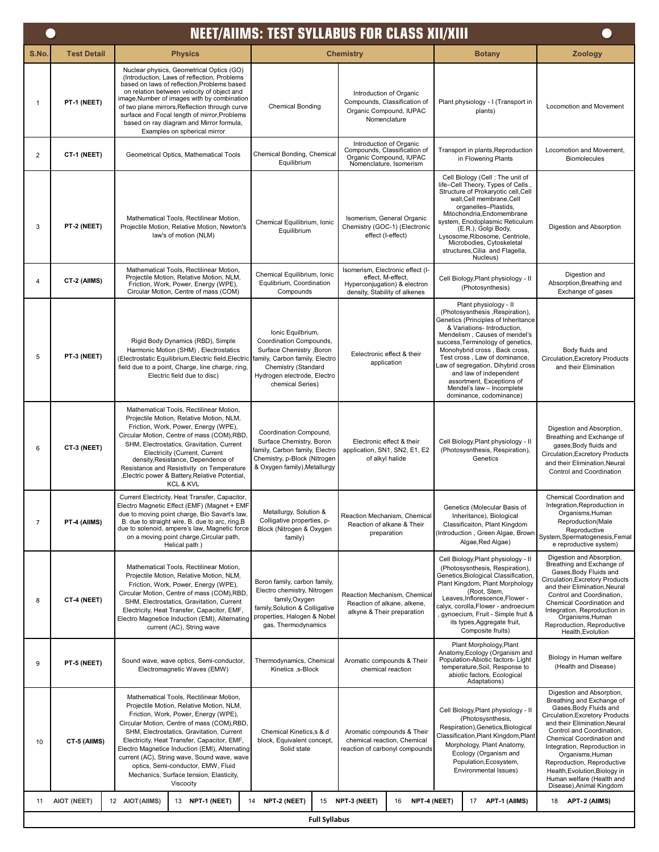|                | <b>NEET/AIIMS: TEST SYLLABUS FOR CLASS XII/XIII</b> |                                                                                                                                                                                                                                                                                                                                                                                                                                                                       |                                                                                                                                                                                       |                                                                                                                        |                                                                                                                                                                                                                                                                                                                                                                                                                             |                                                                                                                                                                                                                                                                                                                                                                                            |  |  |  |
|----------------|-----------------------------------------------------|-----------------------------------------------------------------------------------------------------------------------------------------------------------------------------------------------------------------------------------------------------------------------------------------------------------------------------------------------------------------------------------------------------------------------------------------------------------------------|---------------------------------------------------------------------------------------------------------------------------------------------------------------------------------------|------------------------------------------------------------------------------------------------------------------------|-----------------------------------------------------------------------------------------------------------------------------------------------------------------------------------------------------------------------------------------------------------------------------------------------------------------------------------------------------------------------------------------------------------------------------|--------------------------------------------------------------------------------------------------------------------------------------------------------------------------------------------------------------------------------------------------------------------------------------------------------------------------------------------------------------------------------------------|--|--|--|
| S.No.          | <b>Test Detail</b>                                  | <b>Physics</b>                                                                                                                                                                                                                                                                                                                                                                                                                                                        |                                                                                                                                                                                       | <b>Chemistry</b>                                                                                                       | <b>Botany</b>                                                                                                                                                                                                                                                                                                                                                                                                               | <b>Zoology</b>                                                                                                                                                                                                                                                                                                                                                                             |  |  |  |
| $\mathbf{1}$   | PT-1 (NEET)                                         | Nuclear physics, Geometrical Optics (GO)<br>(Introduction, Laws of reflection, Problems)<br>based on laws of reflection, Problems based<br>on relation between velocity of object and<br>image, Number of images with by combination<br>of two plane mirrors, Reflection through curve<br>surface and Focal length of mirror, Problems<br>based on ray diagram and Mirror formula,<br>Examples on spherical mirror                                                    | <b>Chemical Bonding</b>                                                                                                                                                               | Introduction of Organic<br>Compounds, Classification of<br>Organic Compound, IUPAC<br>Nomenclature                     | Plant physiology - I (Transport in<br>plants)                                                                                                                                                                                                                                                                                                                                                                               | <b>Locomotion and Movement</b>                                                                                                                                                                                                                                                                                                                                                             |  |  |  |
| $\overline{2}$ | CT-1 (NEET)                                         | Geometrical Optics, Mathematical Tools                                                                                                                                                                                                                                                                                                                                                                                                                                | Chemical Bonding, Chemical<br>Equilibrium                                                                                                                                             | Introduction of Organic<br>Compounds, Classification of<br>Organic Compound, IUPAC<br>Nomenclature, Isomerism          | Transport in plants, Reproduction<br>in Flowering Plants                                                                                                                                                                                                                                                                                                                                                                    | Locomotion and Movement,<br>Biomolecules                                                                                                                                                                                                                                                                                                                                                   |  |  |  |
| 3              | PT-2 (NEET)                                         | Mathematical Tools, Rectilinear Motion,<br>Projectile Motion, Relative Motion, Newton's<br>law's of motion (NLM)                                                                                                                                                                                                                                                                                                                                                      | Chemical Equilibrium, Ionic<br>Equilibrium                                                                                                                                            | Isomerism, General Organic<br>Chemistry (GOC-1) (Electronic<br>effect (I-effect)                                       | Cell Biology (Cell: The unit of<br>life-Cell Theory, Types of Cells<br>Structure of Prokaryotic cell, Cell<br>wall, Cell membrane, Cell<br>organelles-Plastids,<br>Mitochondria, Endomembrane<br>system, Enodoplasmic Reticulum<br>(E.R.), Golgi Body,<br>Lysosome, Ribosome, Centriole,<br>Microbodies, Cytoskeletal<br>structures, Cilia and Flagella,<br>Nucleus)                                                        | Digestion and Absorption                                                                                                                                                                                                                                                                                                                                                                   |  |  |  |
| $\overline{4}$ | CT-2 (AIIMS)                                        | Mathematical Tools, Rectilinear Motion,<br>Projectile Motion, Relative Motion, NLM,<br>Friction, Work, Power, Energy (WPE),<br>Circular Motion, Centre of mass (COM)                                                                                                                                                                                                                                                                                                  | Chemical Equilibrium, Ionic<br>Equlibrium, Coordination<br>Compounds                                                                                                                  | Isomerism, Electronic effect (I-<br>effect. M-effect.<br>Hyperconjugation) & electron<br>density, Stability of alkenes | Cell Biology, Plant physiology - II<br>(Photosynthesis)                                                                                                                                                                                                                                                                                                                                                                     | Digestion and<br>Absorption, Breathing and<br>Exchange of gases                                                                                                                                                                                                                                                                                                                            |  |  |  |
| 5              | PT-3 (NEET)                                         | Rigid Body Dynamics (RBD), Simple<br>Harmonic Motion (SHM), Electrostatics<br>Electrostatic Equilibrium, Electric field, Electric<br>field due to a point, Charge, line charge, ring,<br>Electric field due to disc)                                                                                                                                                                                                                                                  | Ionic Equilbrium,<br>Coordination Compounds,<br>Surface Chemistry , Boron<br>family, Carbon family, Electro<br>Chemistry (Standard<br>Hydrogen electrode, Electro<br>chemical Series) | Eelectronic effect & their<br>application                                                                              | Plant physiology - II<br>(Photosysnthesis, Respiration),<br>Genetics (Principles of Inheritance<br>& Variations- Introduction,<br>Mendelism, Causes of mendel's<br>success, Terminology of genetics,<br>Monohybrid cross, Back cross,<br>Test cross, Law of dominance,<br>Law of segregation, Dihybrid cross<br>and law of independent<br>assortment, Exceptions of<br>Mendel's law - Incomplete<br>dominance, codominance) | Body fluids and<br>Circulation, Excretory Products<br>and their Elimination                                                                                                                                                                                                                                                                                                                |  |  |  |
| 6              | CT-3 (NEET)                                         | Mathematical Tools, Rectilinear Motion,<br>Projectile Motion, Relative Motion, NLM,<br>Friction, Work, Power, Energy (WPE),<br>Circular Motion, Centre of mass (COM), RBD<br>SHM, Electrostatics, Gravitation, Current<br>Electricity (Current, Current<br>density, Resistance, Dependence of<br>Resistance and Resistivity on Temperature<br>, Electric power & Battery, Relative Potential,<br><b>KCL &amp; KVL</b>                                                 | Coordination Compound,<br>Surface Chemistry, Boron<br>family, Carbon family, Electro<br>Chemistry, p-Block (Nitrogen<br>& Oxygen family), Metallurgy                                  | Electronic effect & their<br>application, SN1, SN2, E1, E2<br>of alkyl halide                                          | Cell Biology, Plant physiology - II<br>(Photosysnthesis, Respiration),<br>Genetics                                                                                                                                                                                                                                                                                                                                          | Digestion and Absorption,<br>Breathing and Exchange of<br>gases, Body fluids and<br>Circulation, Excretory Products<br>and their Elimination, Neural<br>Control and Coordination                                                                                                                                                                                                           |  |  |  |
| $\overline{7}$ | PT-4 (AIIMS)                                        | Current Electricity, Heat Transfer, Capacitor,<br>Electro Magnetic Effect (EMF) (Magnet + EMF<br>due to moving point charge, Bio Savart's law,<br>B. due to straight wire, B. due to arc, ring, B<br>due to solenoid, ampere's law, Magnetic force<br>on a moving point charge, Circular path,<br>Helical path)                                                                                                                                                       | Metallurgy, Solution &<br>Colligative properties, p-<br>Block (Nitrogen & Oxygen<br>family)                                                                                           | Reaction Mechanism, Chemical<br>Reaction of alkane & Their<br>preparation                                              | Genetics (Molecular Basis of<br>Inheritance), Biological<br>Classificaiton, Plant Kingdom<br>Introduction, Green Algae, Brown<br>Algae, Red Algae)                                                                                                                                                                                                                                                                          | Chemical Coordination and<br>Integration, Reproduction in<br>Organisms, Human<br>Reproduction(Male<br>Reproductive<br>System, Spermatogenesis, Femal<br>e reproductive system)                                                                                                                                                                                                             |  |  |  |
| 8              | CT-4 (NEET)                                         | Mathematical Tools, Rectilinear Motion,<br>Projectile Motion, Relative Motion, NLM,<br>Friction, Work, Power, Energy (WPE),<br>Circular Motion, Centre of mass (COM), RBD<br>SHM, Electrostatics, Gravitation, Current<br>Electricity, Heat Transfer, Capacitor, EMF,<br>Electro Magnetice Induction (EMI), Alternating<br>current (AC), String wave                                                                                                                  | Boron family, carbon family,<br>Electro chemistry, Nitrogen<br>family, Oxygen<br>family, Solution & Colligative<br>properties, Halogen & Nobel<br>gas, Thermodynamics                 | Reaction Mechanism, Chemical<br>Reaction of alkane, alkene,<br>alkyne & Their preparation                              | Cell Biology, Plant physiology - II<br>(Photosysnthesis, Respiration),<br>Genetics, Biological Classification<br>Plant Kingdom, Plant Morphology<br>(Root, Stem,<br>Leaves, Inflorescence, Flower -<br>calyx, corolla, Flower - androecium<br>, gynoecium, Fruit - Simple fruit &<br>its types, Aggregate fruit,<br>Composite fruits)                                                                                       | Digestion and Absorption,<br>Breathing and Exchange of<br>Gases, Body Fluids and<br>Circulation, Excretory Products<br>and their Elimination, Neural<br>Control and Coordination,<br>Chemical Coordination and<br>Integration, Reproduction in<br>Organisms, Human<br>Reproduction, Reproductive<br>Health, Evolution                                                                      |  |  |  |
| 9              | PT-5 (NEET)                                         | Sound wave, wave optics, Semi-conductor,<br>Electromagnetic Waves (EMW)                                                                                                                                                                                                                                                                                                                                                                                               | Thermodynamics, Chemical<br>Aromatic compounds & Their<br>Kinetics , s-Block<br>chemical reaction                                                                                     |                                                                                                                        | Plant Morphology, Plant<br>Anatomy, Ecology (Organism and<br>Population-Abiotic factors- Light<br>temperature, Soil, Response to<br>abiotic factors, Ecological<br>Adaptations)                                                                                                                                                                                                                                             | Biology in Human welfare<br>(Health and Disease)                                                                                                                                                                                                                                                                                                                                           |  |  |  |
| 10             | CT-5 (AIIMS)                                        | Mathematical Tools, Rectilinear Motion,<br>Projectile Motion, Relative Motion, NLM,<br>Friction, Work, Power, Energy (WPE),<br>Circular Motion, Centre of mass (COM), RBD,<br>SHM, Electrostatics, Gravitation, Current<br>Electricity, Heat Transfer, Capacitor, EMF,<br>Electro Magnetice Induction (EMI), Alternating<br>current (AC), String wave, Sound wave, wave<br>optics, Semi-conductor, EMW, Fluid<br>Mechanics, Surface tension, Elasticity,<br>Viscocity | Chemical Kinetics, s & d<br>block, Equivalent concept,<br>Solid state                                                                                                                 | Aromatic compounds & Their<br>chemical reaction, Chemical<br>reaction of carbonyl compounds                            | Cell Biology, Plant physiology - II<br>(Photosysnthesis,<br>Respiration), Genetics, Biological<br>Classification, Plant Kingdom, Plant<br>Morphology, Plant Anatomy,<br>Ecology (Organism and<br>Population, Ecosystem,<br>Environmental Issues)                                                                                                                                                                            | Digestion and Absorption,<br>Breathing and Exchange of<br>Gases, Body Fluids and<br>Circulation, Excretory Products<br>and their Elimination, Neural<br>Control and Coordination,<br>Chemical Coordination and<br>Integration, Reproduction in<br>Organisms, Human<br>Reproduction, Reproductive<br>Health, Evolution, Biology in<br>Human welfare (Health and<br>Disease), Animal Kingdom |  |  |  |
| 11             | AIOT (NEET)                                         | 12 AIOT(AIIMS)<br>13 NPT-1 (NEET)                                                                                                                                                                                                                                                                                                                                                                                                                                     | NPT-2 (NEET)<br>14<br>15                                                                                                                                                              | NPT-3 (NEET)<br>NPT-4 (NEET)<br>16                                                                                     | APT-1 (AIIMS)<br>17                                                                                                                                                                                                                                                                                                                                                                                                         | APT-2 (AIIMS)<br>18                                                                                                                                                                                                                                                                                                                                                                        |  |  |  |
|                |                                                     |                                                                                                                                                                                                                                                                                                                                                                                                                                                                       | <b>Full Syllabus</b>                                                                                                                                                                  |                                                                                                                        |                                                                                                                                                                                                                                                                                                                                                                                                                             |                                                                                                                                                                                                                                                                                                                                                                                            |  |  |  |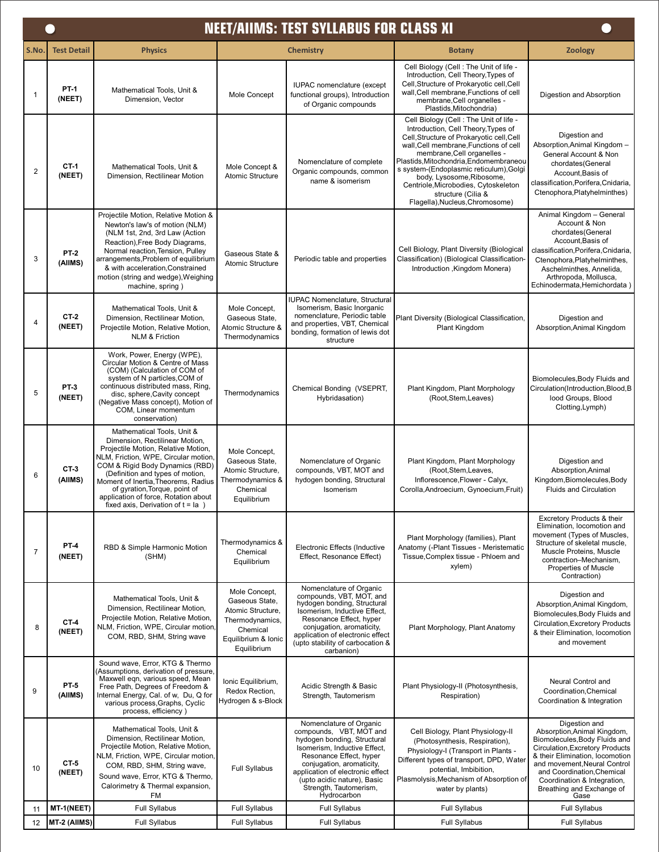|                | <b>NEET/AIIMS: TEST SYLLABUS FOR CLASS XI</b> |                                                                                                                                                                                                                                                                                                                                                                           |                                                                                                                           |                                                                                                                                                                                                                                                                                       |                                                                                                                                                                                                                                                                                                                                                                                                                         |                                                                                                                                                                                                                                                                                       |  |  |  |
|----------------|-----------------------------------------------|---------------------------------------------------------------------------------------------------------------------------------------------------------------------------------------------------------------------------------------------------------------------------------------------------------------------------------------------------------------------------|---------------------------------------------------------------------------------------------------------------------------|---------------------------------------------------------------------------------------------------------------------------------------------------------------------------------------------------------------------------------------------------------------------------------------|-------------------------------------------------------------------------------------------------------------------------------------------------------------------------------------------------------------------------------------------------------------------------------------------------------------------------------------------------------------------------------------------------------------------------|---------------------------------------------------------------------------------------------------------------------------------------------------------------------------------------------------------------------------------------------------------------------------------------|--|--|--|
| S.No.          | <b>Test Detail</b>                            | <b>Physics</b>                                                                                                                                                                                                                                                                                                                                                            |                                                                                                                           | <b>Chemistry</b>                                                                                                                                                                                                                                                                      | <b>Botany</b>                                                                                                                                                                                                                                                                                                                                                                                                           | <b>Zoology</b>                                                                                                                                                                                                                                                                        |  |  |  |
| 1              | <b>PT-1</b><br>(NEET)                         | Mathematical Tools, Unit &<br>Dimension, Vector                                                                                                                                                                                                                                                                                                                           | Mole Concept                                                                                                              | IUPAC nomenclature (except<br>functional groups), Introduction<br>of Organic compounds                                                                                                                                                                                                | Cell Biology (Cell : The Unit of life -<br>Introduction, Cell Theory, Types of<br>Cell, Structure of Prokaryotic cell, Cell<br>wall.Cell membrane.Functions of cell<br>membrane, Cell organelles -<br>Plastids, Mitochondria)                                                                                                                                                                                           | Digestion and Absorption                                                                                                                                                                                                                                                              |  |  |  |
| $\overline{2}$ | CT-1<br>(NEET)                                | Mathematical Tools, Unit &<br>Dimension, Rectilinear Motion                                                                                                                                                                                                                                                                                                               | Mole Concept &<br>Atomic Structure                                                                                        | Nomenclature of complete<br>Organic compounds, common<br>name & isomerism                                                                                                                                                                                                             | Cell Biology (Cell : The Unit of life -<br>Introduction, Cell Theory, Types of<br>Cell, Structure of Prokaryotic cell, Cell<br>wall, Cell membrane, Functions of cell<br>membrane, Cell organelles -<br>Plastids, Mitochondria, Endomembraneou<br>s system-(Endoplasmic reticulum), Golgi<br>body, Lysosome, Ribosome,<br>Centriole, Microbodies, Cytoskeleton<br>structure (Cilia &<br>Flagella), Nucleus, Chromosome) | Digestion and<br>Absorption, Animal Kingdom -<br>General Account & Non<br>chordates(General<br>Account, Basis of<br>classification, Porifera, Cnidaria,<br>Ctenophora, Platyhelminthes)                                                                                               |  |  |  |
| 3              | <b>PT-2</b><br>(AllMS)                        | Projectile Motion, Relative Motion &<br>Newton's law's of motion (NLM)<br>(NLM 1st, 2nd, 3rd Law (Action<br>Reaction), Free Body Diagrams,<br>Normal reaction, Tension, Pulley<br>arrangements, Problem of equilibrium<br>& with acceleration, Constrained<br>motion (string and wedge), Weighing<br>machine, spring)                                                     | Gaseous State &<br><b>Atomic Structure</b>                                                                                | Periodic table and properties                                                                                                                                                                                                                                                         | Cell Biology, Plant Diversity (Biological<br>Classification) (Biological Classification-<br>Introduction , Kingdom Monera)                                                                                                                                                                                                                                                                                              | Animal Kingdom - General<br>Account & Non<br>chordates(General<br>Account, Basis of<br>classification, Porifera, Cnidaria,<br>Ctenophora, Platyhelminthes,<br>Aschelminthes, Annelida,<br>Arthropoda, Mollusca,<br>Echinodermata, Hemichordata)                                       |  |  |  |
| 4              | CT-2<br>(NEET)                                | Mathematical Tools, Unit &<br>Dimension, Rectilinear Motion.<br>Projectile Motion, Relative Motion,<br><b>NLM &amp; Friction</b>                                                                                                                                                                                                                                          | Mole Concept,<br>Gaseous State,<br>Atomic Structure &<br>Thermodynamics                                                   | IUPAC Nomenclature, Structural<br>Isomerism, Basic Inorganic<br>nomenclature, Periodic table<br>and properties, VBT, Chemical<br>bonding, formation of lewis dot<br>structure                                                                                                         | Plant Diversity (Biological Classification,<br>Plant Kingdom                                                                                                                                                                                                                                                                                                                                                            | Digestion and<br>Absorption, Animal Kingdom                                                                                                                                                                                                                                           |  |  |  |
| 5              | PT-3<br>(NEET)                                | Work, Power, Energy (WPE),<br>Circular Motion & Centre of Mass<br>(COM) (Calculation of COM of<br>system of N particles, COM of<br>continuous distributed mass, Ring.<br>disc, sphere, Cavity concept<br>(Negative Mass concept), Motion of<br>COM, Linear momentum<br>conservation)                                                                                      | Thermodynamics                                                                                                            | Chemical Bonding (VSEPRT,<br>Hybridasation)                                                                                                                                                                                                                                           | Plant Kingdom, Plant Morphology<br>(Root, Stem, Leaves)                                                                                                                                                                                                                                                                                                                                                                 | Biomolecules, Body Fluids and<br>Circulation(Introduction,Blood,B<br>lood Groups, Blood<br>Clotting, Lymph)                                                                                                                                                                           |  |  |  |
| 6              | $CT-3$<br>(AllMS)                             | Mathematical Tools, Unit &<br>Dimension, Rectilinear Motion,<br>Projectile Motion, Relative Motion,<br>NLM, Friction, WPE, Circular motion<br>COM & Rigid Body Dynamics (RBD)<br>(Definition and types of motion,<br>Moment of Inertia, Theorems, Radius<br>of gyration, Torque, point of<br>application of force. Rotation about<br>fixed axis, Derivation of $t = Ia$ ) | Mole Concept,<br>Gaseous State,<br>Atomic Structure,<br>Thermodynamics &<br>Chemical<br>Equilibrium                       | Nomenclature of Organic<br>compounds, VBT, MOT and<br>hydogen bonding, Structural<br>Isomerism                                                                                                                                                                                        | Plant Kingdom, Plant Morphology<br>(Root, Stem, Leaves,<br>Inflorescence, Flower - Calyx,<br>Corolla, Androecium, Gynoecium, Fruit)                                                                                                                                                                                                                                                                                     | Digestion and<br>Absorption, Animal<br>Kingdom, Biomolecules, Body<br><b>Fluids and Circulation</b>                                                                                                                                                                                   |  |  |  |
| 7              | <b>PT-4</b><br>(NEET)                         | RBD & Simple Harmonic Motion<br>(SHM)                                                                                                                                                                                                                                                                                                                                     | Thermodynamics &<br>Chemical<br>Equilibrium                                                                               | Electronic Effects (Inductive<br>Effect, Resonance Effect)                                                                                                                                                                                                                            | Plant Morphology (families), Plant<br>Anatomy (-Plant Tissues - Meristematic<br>Tissue, Complex tissue - Phloem and<br>xylem)                                                                                                                                                                                                                                                                                           | Excretory Products & their<br>Elimination, locomotion and<br>movement (Types of Muscles,<br>Structure of skeletal muscle.<br>Muscle Proteins, Muscle<br>contraction-Mechanism,<br>Properties of Muscle<br>Contraction)                                                                |  |  |  |
| 8              | CT-4<br>(NEET)                                | Mathematical Tools, Unit &<br>Dimension, Rectilinear Motion,<br>Projectile Motion, Relative Motion,<br>NLM, Friction, WPE, Circular motion,<br>COM, RBD, SHM, String wave                                                                                                                                                                                                 | Mole Concept,<br>Gaseous State,<br>Atomic Structure,<br>Thermodynamics,<br>Chemical<br>Equilibrium & Ionic<br>Equilibrium | Nomenclature of Organic<br>compounds, VBT, MOT, and<br>hydogen bonding, Structural<br>Isomerism, Inductive Effect,<br>Resonance Effect, hyper<br>conjugation, aromaticity,<br>application of electronic effect<br>(upto stability of carbocation &<br>carbanion)                      | Plant Morphology, Plant Anatomy                                                                                                                                                                                                                                                                                                                                                                                         | Digestion and<br>Absorption, Animal Kingdom,<br>Biomolecules, Body Fluids and<br><b>Circulation, Excretory Products</b><br>& their Elimination, locomotion<br>and movement                                                                                                            |  |  |  |
| 9              | <b>PT-5</b><br>(AllMS)                        | Sound wave, Error, KTG & Thermo<br>Assumptions, derivation of pressure,<br>Maxwell eqn, various speed, Mean<br>Free Path, Degrees of Freedom &<br>Internal Energy, Cal. of w, Du, Q for<br>various process, Graphs, Cyclic<br>process, efficiency)                                                                                                                        | Ionic Equilibrium,<br>Redox Rection,<br>Hydrogen & s-Block                                                                | Acidic Strength & Basic<br>Strength, Tautomerism                                                                                                                                                                                                                                      | Plant Physiology-II (Photosynthesis,<br>Respiration)                                                                                                                                                                                                                                                                                                                                                                    | Neural Control and<br>Coordination, Chemical<br>Coordination & Integration                                                                                                                                                                                                            |  |  |  |
| 10             | CT-5<br>(NEET)                                | Mathematical Tools, Unit &<br>Dimension, Rectilinear Motion,<br>Projectile Motion, Relative Motion,<br>NLM, Friction, WPE, Circular motion,<br>COM, RBD, SHM, String wave,<br>Sound wave, Error, KTG & Thermo,<br>Calorimetry & Thermal expansion,<br>FM                                                                                                                  | <b>Full Syllabus</b>                                                                                                      | Nomenclature of Organic<br>compounds, VBT, MOT and<br>hydogen bonding, Structural<br>Isomerism, Inductive Effect,<br>Resonance Effect, hyper<br>conjugation, aromaticity,<br>application of electronic effect<br>(upto acidic nature), Basic<br>Strength, Tautomerism,<br>Hydrocarbon | Cell Biology, Plant Physiology-II<br>(Photosynthesis, Respiration),<br>Physiology-I (Transport in Plants -<br>Different types of transport, DPD, Water<br>potential, Imbibition,<br>Plasmolysis, Mechanism of Absorption of<br>water by plants)                                                                                                                                                                         | Digestion and<br>Absorption, Animal Kingdom,<br>Biomolecules, Body Fluids and<br>Circulation, Excretory Products<br>& their Elimination, locomotion<br>and movement, Neural Control<br>and Coordination, Chemical<br>Coordination & Integration,<br>Breathing and Exchange of<br>Gase |  |  |  |
| 11             | MT-1(NEET)                                    | <b>Full Syllabus</b>                                                                                                                                                                                                                                                                                                                                                      | <b>Full Syllabus</b>                                                                                                      | <b>Full Syllabus</b>                                                                                                                                                                                                                                                                  | <b>Full Syllabus</b>                                                                                                                                                                                                                                                                                                                                                                                                    | <b>Full Syllabus</b>                                                                                                                                                                                                                                                                  |  |  |  |
| 12             | MT-2 (AIIMS)                                  | <b>Full Syllabus</b>                                                                                                                                                                                                                                                                                                                                                      | Full Syllabus                                                                                                             | Full Syllabus                                                                                                                                                                                                                                                                         | <b>Full Syllabus</b>                                                                                                                                                                                                                                                                                                                                                                                                    | <b>Full Syllabus</b>                                                                                                                                                                                                                                                                  |  |  |  |